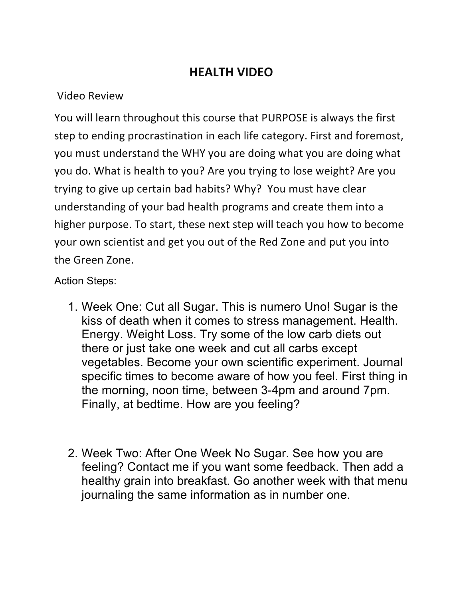## **HEALTH VIDEO**

## Video Review

You will learn throughout this course that PURPOSE is always the first step to ending procrastination in each life category. First and foremost, you must understand the WHY you are doing what you are doing what you do. What is health to you? Are you trying to lose weight? Are you trying to give up certain bad habits? Why? You must have clear understanding of your bad health programs and create them into a higher purpose. To start, these next step will teach you how to become your own scientist and get you out of the Red Zone and put you into the Green Zone.

## Action Steps:

- 1. Week One: Cut all Sugar. This is numero Uno! Sugar is the kiss of death when it comes to stress management. Health. Energy. Weight Loss. Try some of the low carb diets out there or just take one week and cut all carbs except vegetables. Become your own scientific experiment. Journal specific times to become aware of how you feel. First thing in the morning, noon time, between 3-4pm and around 7pm. Finally, at bedtime. How are you feeling?
- 2. Week Two: After One Week No Sugar. See how you are feeling? Contact me if you want some feedback. Then add a healthy grain into breakfast. Go another week with that menu journaling the same information as in number one.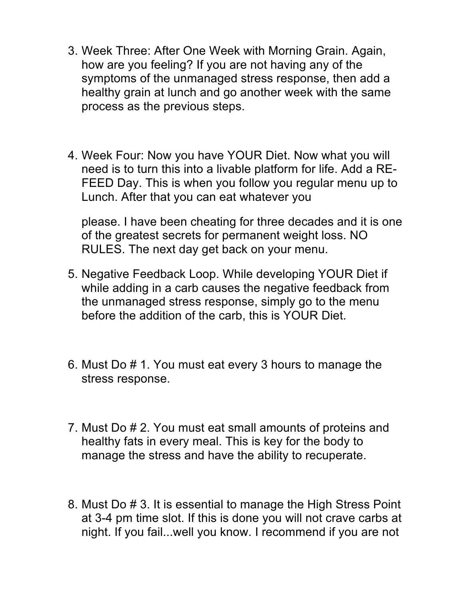- 3. Week Three: After One Week with Morning Grain. Again, how are you feeling? If you are not having any of the symptoms of the unmanaged stress response, then add a healthy grain at lunch and go another week with the same process as the previous steps.
- 4. Week Four: Now you have YOUR Diet. Now what you will need is to turn this into a livable platform for life. Add a RE-FEED Day. This is when you follow you regular menu up to Lunch. After that you can eat whatever you

please. I have been cheating for three decades and it is one of the greatest secrets for permanent weight loss. NO RULES. The next day get back on your menu.

- 5. Negative Feedback Loop. While developing YOUR Diet if while adding in a carb causes the negative feedback from the unmanaged stress response, simply go to the menu before the addition of the carb, this is YOUR Diet.
- 6. Must Do # 1. You must eat every 3 hours to manage the stress response.
- 7. Must Do # 2. You must eat small amounts of proteins and healthy fats in every meal. This is key for the body to manage the stress and have the ability to recuperate.
- 8. Must Do # 3. It is essential to manage the High Stress Point at 3-4 pm time slot. If this is done you will not crave carbs at night. If you fail...well you know. I recommend if you are not